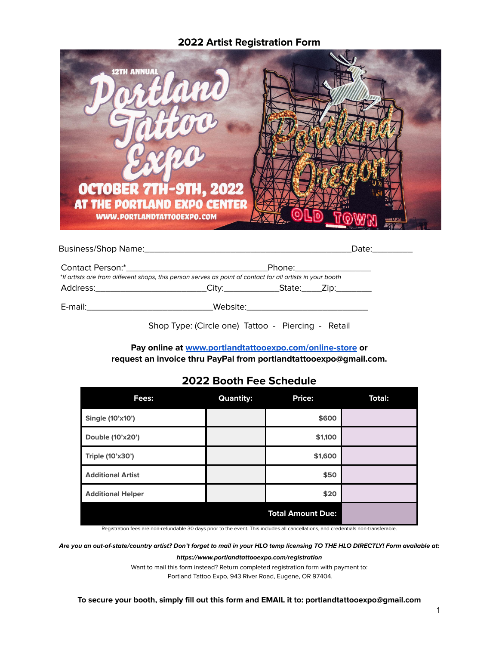# **2022 Artist Registration Form**



|                                                                                                            |                                                    | Date:__________ |
|------------------------------------------------------------------------------------------------------------|----------------------------------------------------|-----------------|
|                                                                                                            |                                                    |                 |
| *If artists are from different shops, this person serves as point of contact for all artists in your booth |                                                    |                 |
| Address:___________________________City:__________________State:_______Zip:__________                      |                                                    |                 |
|                                                                                                            |                                                    |                 |
|                                                                                                            | Shop Type: (Circle one) Tattoo - Piercing - Retail |                 |

**Pay online at [www.portlandtattooexpo.com/online-store](http://www.portlandtattooexpo.com/online-store) or request an invoice thru PayPal from [portlandtattooexpo@gmail.com](mailto:portlandtattooexpo@gmail.com).**

# **2022 Booth Fee Schedule**

| Fees:                    | <b>Quantity:</b> | Price:                   | <b>Total:</b> |
|--------------------------|------------------|--------------------------|---------------|
| Single (10'x10')         |                  | \$600                    |               |
| Double (10'x20')         |                  | \$1,100                  |               |
| Triple (10'x30')         |                  | \$1,600                  |               |
| <b>Additional Artist</b> |                  | \$50                     |               |
| <b>Additional Helper</b> |                  | \$20                     |               |
|                          |                  | <b>Total Amount Due:</b> |               |

Registration fees are non-refundable 30 days prior to the event. This includes all cancellations, and credentials non-transferable.

Are you an out-of-state/country artist? Don't forget to mail in your HLO temp licensing TO THE HLO DIRECTLY! Form available at:

**https://www.portlandtattooexpo.com/registration**

Want to mail this form instead? Return completed registration form with payment to:

Portland Tattoo Expo, 943 River Road, Eugene, OR 97404.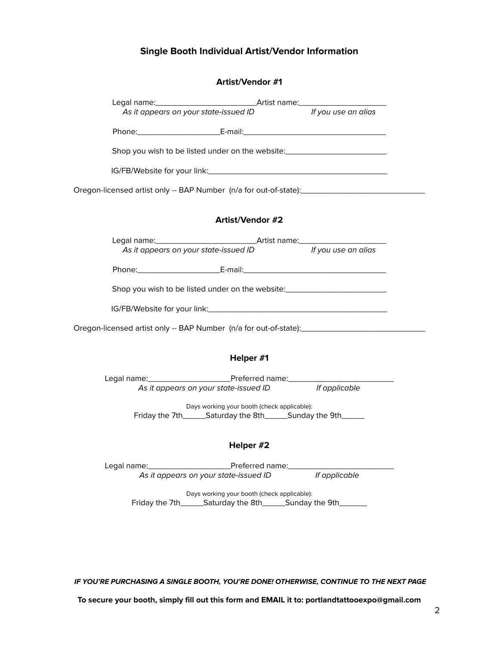## **Single Booth Individual Artist/Vendor Information**

### **Artist/Vendor #1**

| As it appears on your state-issued ID lf you use an alias |                                                           |                                                                                                      |
|-----------------------------------------------------------|-----------------------------------------------------------|------------------------------------------------------------------------------------------------------|
|                                                           |                                                           |                                                                                                      |
|                                                           |                                                           | Shop you wish to be listed under on the website:________________________________                     |
|                                                           |                                                           |                                                                                                      |
|                                                           |                                                           | Oregon-licensed artist only -- BAP Number (n/a for out-of-state):__________________________________  |
|                                                           |                                                           |                                                                                                      |
|                                                           | Artist/Vendor #2                                          |                                                                                                      |
|                                                           |                                                           |                                                                                                      |
|                                                           | As it appears on your state-issued ID If you use an alias |                                                                                                      |
|                                                           |                                                           |                                                                                                      |
|                                                           |                                                           | Shop you wish to be listed under on the website: _______________________________                     |
|                                                           |                                                           |                                                                                                      |
|                                                           |                                                           | Oregon-licensed artist only -- BAP Number (n/a for out-of-state):___________________________________ |
|                                                           |                                                           |                                                                                                      |

### **Helper #1**

Legal name:\_\_\_\_\_\_\_\_\_\_\_\_\_\_\_\_\_\_Preferred name:\_\_\_\_\_\_\_\_\_\_\_\_\_\_\_\_\_\_\_\_\_\_\_ As it appears on your state-issued ID

> Days working your booth (check applicable): Friday the 7th\_\_\_\_\_\_Saturday the 8th\_\_\_\_\_\_Sunday the 9th\_\_\_\_\_\_

#### **Helper #2**

Legal name:\_\_\_\_\_\_\_\_\_\_\_\_\_\_\_\_\_\_Preferred name:\_\_\_\_\_\_\_\_\_\_\_\_\_\_\_\_\_\_\_\_\_\_\_ As it appears on your state-issued ID

Days working your booth (check applicable): Friday the 7th\_\_\_\_\_\_Saturday the 8th\_\_\_\_\_\_Sunday the 9th\_\_\_\_\_\_\_

**IF YOU'RE PURCHASING A SINGLE BOOTH, YOU'RE DONE! OTHERWISE, CONTINUE TO THE NEXT PAGE**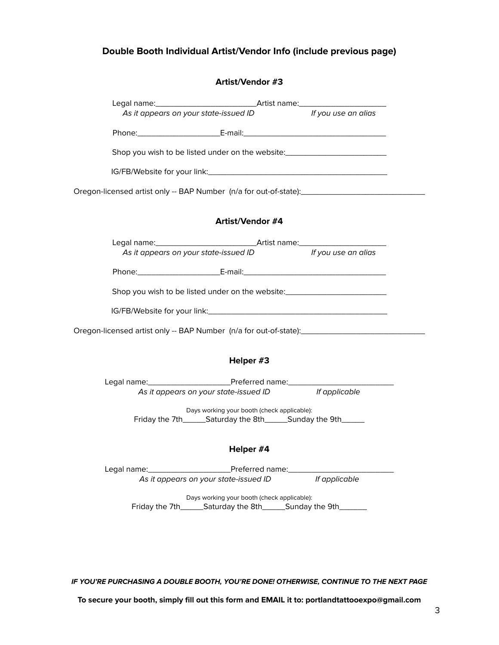## **Double Booth Individual Artist/Vendor Info (include previous page)**

### **Artist/Vendor #3**

|                                                                                                     | As it appears on your state-issued ID lf you use an alias |  |
|-----------------------------------------------------------------------------------------------------|-----------------------------------------------------------|--|
|                                                                                                     |                                                           |  |
| Shop you wish to be listed under on the website:________________________________                    |                                                           |  |
|                                                                                                     |                                                           |  |
| Oregon-licensed artist only -- BAP Number (n/a for out-of-state):__________________________________ |                                                           |  |
|                                                                                                     | Artist/Vendor #4                                          |  |
|                                                                                                     |                                                           |  |
|                                                                                                     | As it appears on your state-issued ID lf you use an alias |  |
|                                                                                                     |                                                           |  |
| Shop you wish to be listed under on the website:________________________________                    |                                                           |  |
|                                                                                                     |                                                           |  |
| Oregon-licensed artist only -- BAP Number (n/a for out-of-state):__________________________________ |                                                           |  |
|                                                                                                     |                                                           |  |

### **Helper #3**

Legal name:\_\_\_\_\_\_\_\_\_\_\_\_\_\_\_\_\_\_Preferred name:\_\_\_\_\_\_\_\_\_\_\_\_\_\_\_\_\_\_\_\_\_\_\_ As it appears on your state-issued ID

> Days working your booth (check applicable): Friday the 7th\_\_\_\_\_\_Saturday the 8th\_\_\_\_\_\_Sunday the 9th\_\_\_\_\_\_

#### **Helper #4**

Legal name:\_\_\_\_\_\_\_\_\_\_\_\_\_\_\_\_\_\_Preferred name:\_\_\_\_\_\_\_\_\_\_\_\_\_\_\_\_\_\_\_\_\_\_\_ As it appears on your state-issued ID

> Days working your booth (check applicable): Friday the 7th\_\_\_\_\_\_Saturday the 8th\_\_\_\_\_\_Sunday the 9th\_\_\_\_\_\_\_

**IF YOU'RE PURCHASING A DOUBLE BOOTH, YOU'RE DONE! OTHERWISE, CONTINUE TO THE NEXT PAGE**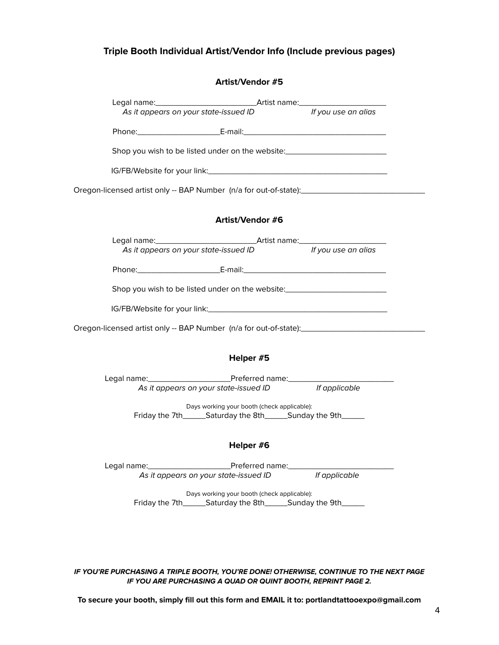# **Triple Booth Individual Artist/Vendor Info (Include previous pages)**

#### **Artist/Vendor #5**

| As it appears on your state-issued ID                                            |                                                                                                                                 | If you use an alias                                                                                 |
|----------------------------------------------------------------------------------|---------------------------------------------------------------------------------------------------------------------------------|-----------------------------------------------------------------------------------------------------|
|                                                                                  |                                                                                                                                 |                                                                                                     |
| Shop you wish to be listed under on the website: _______________________________ |                                                                                                                                 |                                                                                                     |
|                                                                                  |                                                                                                                                 |                                                                                                     |
|                                                                                  |                                                                                                                                 | Oregon-licensed artist only -- BAP Number (n/a for out-of-state):__________________________________ |
|                                                                                  | Artist/Vendor #6                                                                                                                |                                                                                                     |
| As it appears on your state-issued ID let use an alias                           |                                                                                                                                 |                                                                                                     |
|                                                                                  |                                                                                                                                 |                                                                                                     |
| Shop you wish to be listed under on the website: _______________________________ |                                                                                                                                 |                                                                                                     |
|                                                                                  |                                                                                                                                 |                                                                                                     |
|                                                                                  |                                                                                                                                 | Oregon-licensed artist only -- BAP Number (n/a for out-of-state):__________________________________ |
|                                                                                  | Helper #5                                                                                                                       |                                                                                                     |
|                                                                                  |                                                                                                                                 |                                                                                                     |
|                                                                                  | As it appears on your state-issued ID lf applicable                                                                             |                                                                                                     |
|                                                                                  | Days working your booth (check applicable):<br>Friday the 7th________Saturday the 8th_________Sunday the 9th___________________ |                                                                                                     |
|                                                                                  | Helper #6                                                                                                                       |                                                                                                     |

Legal name:\_\_\_\_\_\_\_\_\_\_\_\_\_\_\_\_\_\_Preferred name:\_\_\_\_\_\_\_\_\_\_\_\_\_\_\_\_\_\_\_\_\_\_\_ As it appears on your state-issued ID

> Days working your booth (check applicable): Friday the 7th\_\_\_\_\_\_Saturday the 8th\_\_\_\_\_\_Sunday the 9th\_\_\_\_\_\_

#### **IF YOU'RE PURCHASING A TRIPLE BOOTH, YOU'RE DONE! OTHERWISE, CONTINUE TO THE NEXT PAGE IF YOU ARE PURCHASING A QUAD OR QUINT BOOTH, REPRINT PAGE 2.**